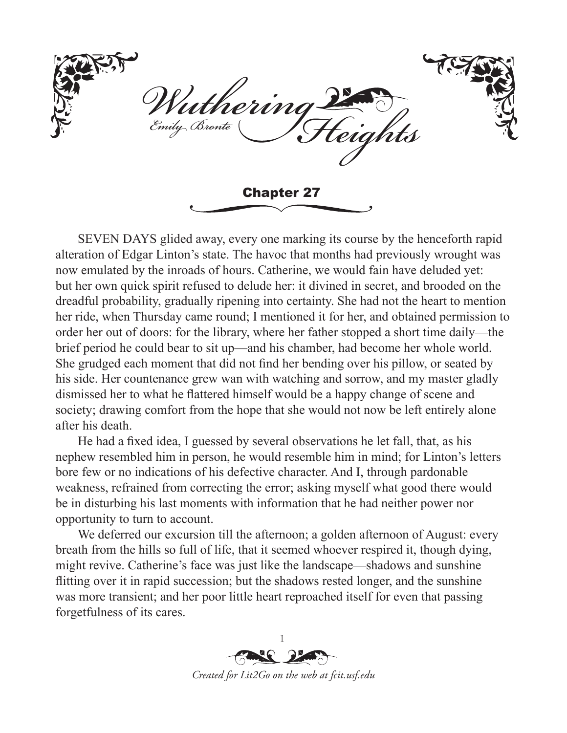itherini Emily Bronte riahts Chapter 27

SEVEN DAYS glided away, every one marking its course by the henceforth rapid alteration of Edgar Linton's state. The havoc that months had previously wrought was now emulated by the inroads of hours. Catherine, we would fain have deluded yet: but her own quick spirit refused to delude her: it divined in secret, and brooded on the dreadful probability, gradually ripening into certainty. She had not the heart to mention her ride, when Thursday came round; I mentioned it for her, and obtained permission to order her out of doors: for the library, where her father stopped a short time daily—the brief period he could bear to sit up—and his chamber, had become her whole world. She grudged each moment that did not find her bending over his pillow, or seated by his side. Her countenance grew wan with watching and sorrow, and my master gladly dismissed her to what he flattered himself would be a happy change of scene and society; drawing comfort from the hope that she would not now be left entirely alone after his death.

He had a fixed idea, I guessed by several observations he let fall, that, as his nephew resembled him in person, he would resemble him in mind; for Linton's letters bore few or no indications of his defective character. And I, through pardonable weakness, refrained from correcting the error; asking myself what good there would be in disturbing his last moments with information that he had neither power nor opportunity to turn to account.

We deferred our excursion till the afternoon; a golden afternoon of August: every breath from the hills so full of life, that it seemed whoever respired it, though dying, might revive. Catherine's face was just like the landscape—shadows and sunshine flitting over it in rapid succession; but the shadows rested longer, and the sunshine was more transient; and her poor little heart reproached itself for even that passing forgetfulness of its cares.

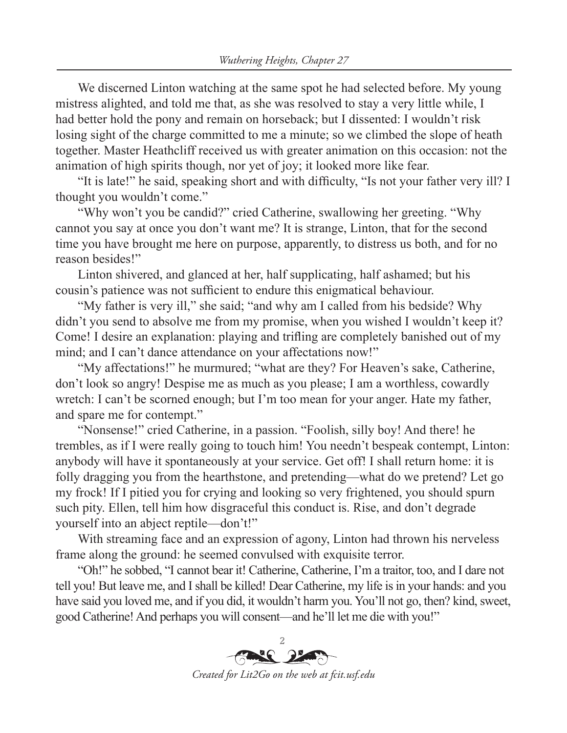We discerned Linton watching at the same spot he had selected before. My young mistress alighted, and told me that, as she was resolved to stay a very little while, I had better hold the pony and remain on horseback; but I dissented: I wouldn't risk losing sight of the charge committed to me a minute; so we climbed the slope of heath together. Master Heathcliff received us with greater animation on this occasion: not the animation of high spirits though, nor yet of joy; it looked more like fear.

"It is late!" he said, speaking short and with difficulty, "Is not your father very ill? I thought you wouldn't come."

"Why won't you be candid?" cried Catherine, swallowing her greeting. "Why cannot you say at once you don't want me? It is strange, Linton, that for the second time you have brought me here on purpose, apparently, to distress us both, and for no reason besides!"

Linton shivered, and glanced at her, half supplicating, half ashamed; but his cousin's patience was not sufficient to endure this enigmatical behaviour.

"My father is very ill," she said; "and why am I called from his bedside? Why didn't you send to absolve me from my promise, when you wished I wouldn't keep it? Come! I desire an explanation: playing and trifling are completely banished out of my mind; and I can't dance attendance on your affectations now!"

"My affectations!" he murmured; "what are they? For Heaven's sake, Catherine, don't look so angry! Despise me as much as you please; I am a worthless, cowardly wretch: I can't be scorned enough; but I'm too mean for your anger. Hate my father, and spare me for contempt."

"Nonsense!" cried Catherine, in a passion. "Foolish, silly boy! And there! he trembles, as if I were really going to touch him! You needn't bespeak contempt, Linton: anybody will have it spontaneously at your service. Get off! I shall return home: it is folly dragging you from the hearthstone, and pretending—what do we pretend? Let go my frock! If I pitied you for crying and looking so very frightened, you should spurn such pity. Ellen, tell him how disgraceful this conduct is. Rise, and don't degrade yourself into an abject reptile—don't!"

With streaming face and an expression of agony, Linton had thrown his nerveless frame along the ground: he seemed convulsed with exquisite terror.

"Oh!" he sobbed, "I cannot bear it! Catherine, Catherine, I'm a traitor, too, and I dare not tell you! But leave me, and I shall be killed! Dear Catherine, my life is in your hands: and you have said you loved me, and if you did, it wouldn't harm you. You'll not go, then? kind, sweet, good Catherine! And perhaps you will consent—and he'll let me die with you!"

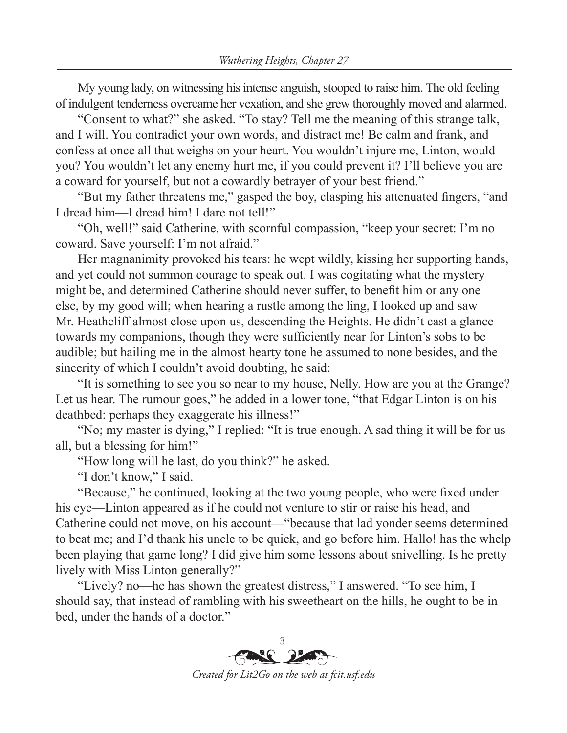My young lady, on witnessing his intense anguish, stooped to raise him. The old feeling of indulgent tenderness overcame her vexation, and she grew thoroughly moved and alarmed.

"Consent to what?" she asked. "To stay? Tell me the meaning of this strange talk, and I will. You contradict your own words, and distract me! Be calm and frank, and confess at once all that weighs on your heart. You wouldn't injure me, Linton, would you? You wouldn't let any enemy hurt me, if you could prevent it? I'll believe you are a coward for yourself, but not a cowardly betrayer of your best friend."

"But my father threatens me," gasped the boy, clasping his attenuated fingers, "and I dread him—I dread him! I dare not tell!"

"Oh, well!" said Catherine, with scornful compassion, "keep your secret: I'm no coward. Save yourself: I'm not afraid."

Her magnanimity provoked his tears: he wept wildly, kissing her supporting hands, and yet could not summon courage to speak out. I was cogitating what the mystery might be, and determined Catherine should never suffer, to benefit him or any one else, by my good will; when hearing a rustle among the ling, I looked up and saw Mr. Heathcliff almost close upon us, descending the Heights. He didn't cast a glance towards my companions, though they were sufficiently near for Linton's sobs to be audible; but hailing me in the almost hearty tone he assumed to none besides, and the sincerity of which I couldn't avoid doubting, he said:

"It is something to see you so near to my house, Nelly. How are you at the Grange? Let us hear. The rumour goes," he added in a lower tone, "that Edgar Linton is on his deathbed: perhaps they exaggerate his illness!"

"No; my master is dying," I replied: "It is true enough. A sad thing it will be for us all, but a blessing for him!"

"How long will he last, do you think?" he asked.

"I don't know," I said.

"Because," he continued, looking at the two young people, who were fixed under his eye—Linton appeared as if he could not venture to stir or raise his head, and Catherine could not move, on his account—"because that lad yonder seems determined to beat me; and I'd thank his uncle to be quick, and go before him. Hallo! has the whelp been playing that game long? I did give him some lessons about snivelling. Is he pretty lively with Miss Linton generally?"

"Lively? no—he has shown the greatest distress," I answered. "To see him, I should say, that instead of rambling with his sweetheart on the hills, he ought to be in bed, under the hands of a doctor."

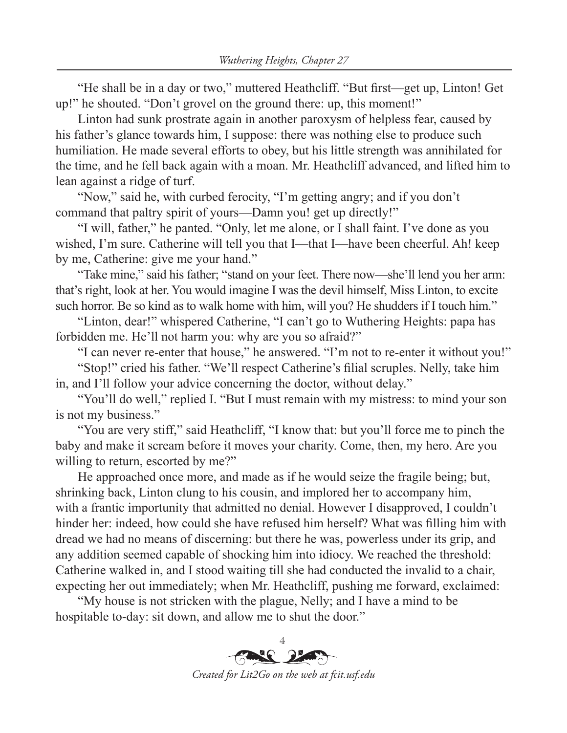"He shall be in a day or two," muttered Heathcliff. "But first—get up, Linton! Get up!" he shouted. "Don't grovel on the ground there: up, this moment!"

Linton had sunk prostrate again in another paroxysm of helpless fear, caused by his father's glance towards him, I suppose: there was nothing else to produce such humiliation. He made several efforts to obey, but his little strength was annihilated for the time, and he fell back again with a moan. Mr. Heathcliff advanced, and lifted him to lean against a ridge of turf.

"Now," said he, with curbed ferocity, "I'm getting angry; and if you don't command that paltry spirit of yours—Damn you! get up directly!"

"I will, father," he panted. "Only, let me alone, or I shall faint. I've done as you wished, I'm sure. Catherine will tell you that I—that I—have been cheerful. Ah! keep by me, Catherine: give me your hand."

"Take mine," said his father; "stand on your feet. There now—she'll lend you her arm: that's right, look at her. You would imagine I was the devil himself, Miss Linton, to excite such horror. Be so kind as to walk home with him, will you? He shudders if I touch him."

"Linton, dear!" whispered Catherine, "I can't go to Wuthering Heights: papa has forbidden me. He'll not harm you: why are you so afraid?"

"I can never re-enter that house," he answered. "I'm not to re-enter it without you!"

"Stop!" cried his father. "We'll respect Catherine's filial scruples. Nelly, take him in, and I'll follow your advice concerning the doctor, without delay."

"You'll do well," replied I. "But I must remain with my mistress: to mind your son is not my business."

"You are very stiff," said Heathcliff, "I know that: but you'll force me to pinch the baby and make it scream before it moves your charity. Come, then, my hero. Are you willing to return, escorted by me?"

He approached once more, and made as if he would seize the fragile being; but, shrinking back, Linton clung to his cousin, and implored her to accompany him, with a frantic importunity that admitted no denial. However I disapproved, I couldn't hinder her: indeed, how could she have refused him herself? What was filling him with dread we had no means of discerning: but there he was, powerless under its grip, and any addition seemed capable of shocking him into idiocy. We reached the threshold: Catherine walked in, and I stood waiting till she had conducted the invalid to a chair, expecting her out immediately; when Mr. Heathcliff, pushing me forward, exclaimed:

"My house is not stricken with the plague, Nelly; and I have a mind to be hospitable to-day: sit down, and allow me to shut the door."

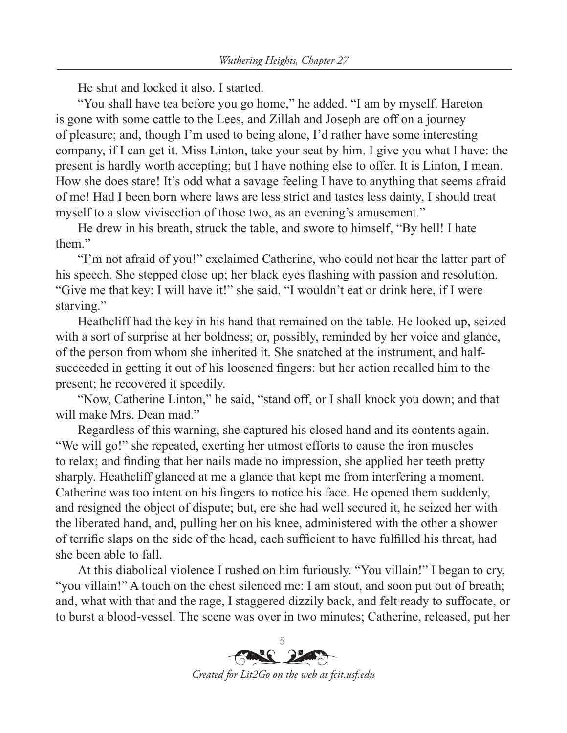He shut and locked it also. I started.

"You shall have tea before you go home," he added. "I am by myself. Hareton is gone with some cattle to the Lees, and Zillah and Joseph are off on a journey of pleasure; and, though I'm used to being alone, I'd rather have some interesting company, if I can get it. Miss Linton, take your seat by him. I give you what I have: the present is hardly worth accepting; but I have nothing else to offer. It is Linton, I mean. How she does stare! It's odd what a savage feeling I have to anything that seems afraid of me! Had I been born where laws are less strict and tastes less dainty, I should treat myself to a slow vivisection of those two, as an evening's amusement."

He drew in his breath, struck the table, and swore to himself, "By hell! I hate them."

"I'm not afraid of you!" exclaimed Catherine, who could not hear the latter part of his speech. She stepped close up; her black eyes flashing with passion and resolution. "Give me that key: I will have it!" she said. "I wouldn't eat or drink here, if I were starving."

Heathcliff had the key in his hand that remained on the table. He looked up, seized with a sort of surprise at her boldness; or, possibly, reminded by her voice and glance, of the person from whom she inherited it. She snatched at the instrument, and halfsucceeded in getting it out of his loosened fingers: but her action recalled him to the present; he recovered it speedily.

"Now, Catherine Linton," he said, "stand off, or I shall knock you down; and that will make Mrs. Dean mad."

Regardless of this warning, she captured his closed hand and its contents again. "We will go!" she repeated, exerting her utmost efforts to cause the iron muscles to relax; and finding that her nails made no impression, she applied her teeth pretty sharply. Heathcliff glanced at me a glance that kept me from interfering a moment. Catherine was too intent on his fingers to notice his face. He opened them suddenly, and resigned the object of dispute; but, ere she had well secured it, he seized her with the liberated hand, and, pulling her on his knee, administered with the other a shower of terrific slaps on the side of the head, each sufficient to have fulfilled his threat, had she been able to fall.

At this diabolical violence I rushed on him furiously. "You villain!" I began to cry, "you villain!" A touch on the chest silenced me: I am stout, and soon put out of breath; and, what with that and the rage, I staggered dizzily back, and felt ready to suffocate, or to burst a blood-vessel. The scene was over in two minutes; Catherine, released, put her

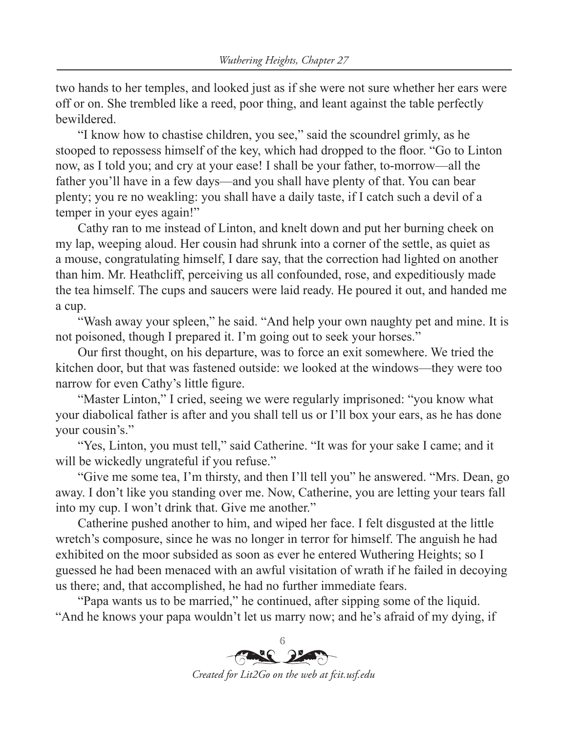two hands to her temples, and looked just as if she were not sure whether her ears were off or on. She trembled like a reed, poor thing, and leant against the table perfectly bewildered.

"I know how to chastise children, you see," said the scoundrel grimly, as he stooped to repossess himself of the key, which had dropped to the floor. "Go to Linton now, as I told you; and cry at your ease! I shall be your father, to-morrow—all the father you'll have in a few days—and you shall have plenty of that. You can bear plenty; you re no weakling: you shall have a daily taste, if I catch such a devil of a temper in your eyes again!"

Cathy ran to me instead of Linton, and knelt down and put her burning cheek on my lap, weeping aloud. Her cousin had shrunk into a corner of the settle, as quiet as a mouse, congratulating himself, I dare say, that the correction had lighted on another than him. Mr. Heathcliff, perceiving us all confounded, rose, and expeditiously made the tea himself. The cups and saucers were laid ready. He poured it out, and handed me a cup.

"Wash away your spleen," he said. "And help your own naughty pet and mine. It is not poisoned, though I prepared it. I'm going out to seek your horses."

Our first thought, on his departure, was to force an exit somewhere. We tried the kitchen door, but that was fastened outside: we looked at the windows—they were too narrow for even Cathy's little figure.

"Master Linton," I cried, seeing we were regularly imprisoned: "you know what your diabolical father is after and you shall tell us or I'll box your ears, as he has done your cousin's."

"Yes, Linton, you must tell," said Catherine. "It was for your sake I came; and it will be wickedly ungrateful if you refuse."

"Give me some tea, I'm thirsty, and then I'll tell you" he answered. "Mrs. Dean, go away. I don't like you standing over me. Now, Catherine, you are letting your tears fall into my cup. I won't drink that. Give me another."

Catherine pushed another to him, and wiped her face. I felt disgusted at the little wretch's composure, since he was no longer in terror for himself. The anguish he had exhibited on the moor subsided as soon as ever he entered Wuthering Heights; so I guessed he had been menaced with an awful visitation of wrath if he failed in decoying us there; and, that accomplished, he had no further immediate fears.

"Papa wants us to be married," he continued, after sipping some of the liquid. "And he knows your papa wouldn't let us marry now; and he's afraid of my dying, if

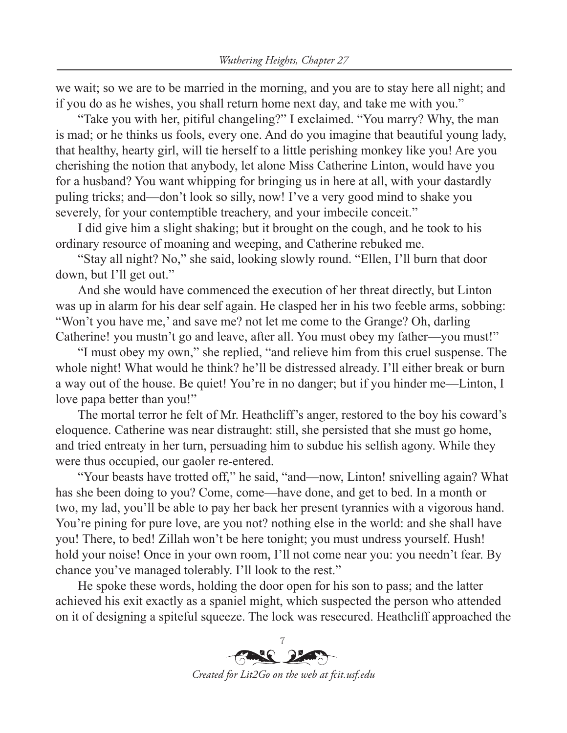we wait; so we are to be married in the morning, and you are to stay here all night; and if you do as he wishes, you shall return home next day, and take me with you."

"Take you with her, pitiful changeling?" I exclaimed. "You marry? Why, the man is mad; or he thinks us fools, every one. And do you imagine that beautiful young lady, that healthy, hearty girl, will tie herself to a little perishing monkey like you! Are you cherishing the notion that anybody, let alone Miss Catherine Linton, would have you for a husband? You want whipping for bringing us in here at all, with your dastardly puling tricks; and—don't look so silly, now! I've a very good mind to shake you severely, for your contemptible treachery, and your imbecile conceit."

I did give him a slight shaking; but it brought on the cough, and he took to his ordinary resource of moaning and weeping, and Catherine rebuked me.

"Stay all night? No," she said, looking slowly round. "Ellen, I'll burn that door down, but I'll get out."

And she would have commenced the execution of her threat directly, but Linton was up in alarm for his dear self again. He clasped her in his two feeble arms, sobbing: "Won't you have me,' and save me? not let me come to the Grange? Oh, darling Catherine! you mustn't go and leave, after all. You must obey my father—you must!"

"I must obey my own," she replied, "and relieve him from this cruel suspense. The whole night! What would he think? he'll be distressed already. I'll either break or burn a way out of the house. Be quiet! You're in no danger; but if you hinder me—Linton, I love papa better than you!"

The mortal terror he felt of Mr. Heathcliff's anger, restored to the boy his coward's eloquence. Catherine was near distraught: still, she persisted that she must go home, and tried entreaty in her turn, persuading him to subdue his selfish agony. While they were thus occupied, our gaoler re-entered.

"Your beasts have trotted off," he said, "and—now, Linton! snivelling again? What has she been doing to you? Come, come—have done, and get to bed. In a month or two, my lad, you'll be able to pay her back her present tyrannies with a vigorous hand. You're pining for pure love, are you not? nothing else in the world: and she shall have you! There, to bed! Zillah won't be here tonight; you must undress yourself. Hush! hold your noise! Once in your own room, I'll not come near you: you needn't fear. By chance you've managed tolerably. I'll look to the rest."

He spoke these words, holding the door open for his son to pass; and the latter achieved his exit exactly as a spaniel might, which suspected the person who attended on it of designing a spiteful squeeze. The lock was resecured. Heathcliff approached the

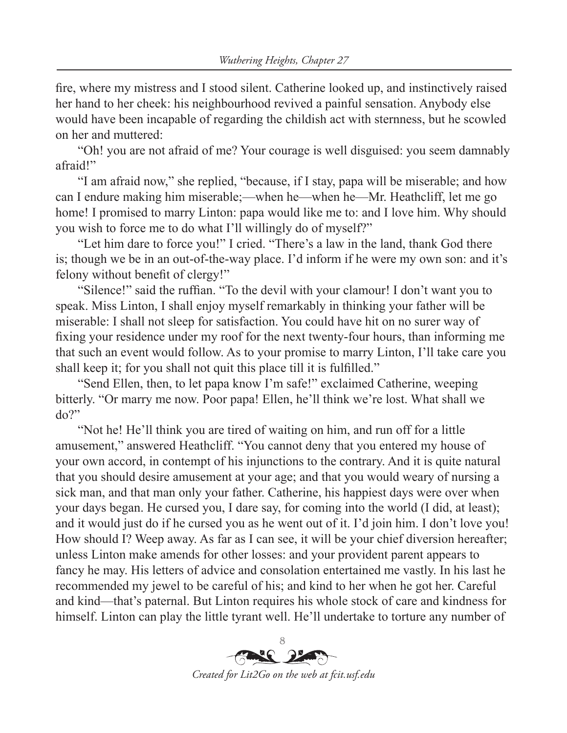fire, where my mistress and I stood silent. Catherine looked up, and instinctively raised her hand to her cheek: his neighbourhood revived a painful sensation. Anybody else would have been incapable of regarding the childish act with sternness, but he scowled on her and muttered:

"Oh! you are not afraid of me? Your courage is well disguised: you seem damnably afraid!"

"I am afraid now," she replied, "because, if I stay, papa will be miserable; and how can I endure making him miserable;—when he—when he—Mr. Heathcliff, let me go home! I promised to marry Linton: papa would like me to: and I love him. Why should you wish to force me to do what I'll willingly do of myself?"

"Let him dare to force you!" I cried. "There's a law in the land, thank God there is; though we be in an out-of-the-way place. I'd inform if he were my own son: and it's felony without benefit of clergy!"

"Silence!" said the ruffian. "To the devil with your clamour! I don't want you to speak. Miss Linton, I shall enjoy myself remarkably in thinking your father will be miserable: I shall not sleep for satisfaction. You could have hit on no surer way of fixing your residence under my roof for the next twenty-four hours, than informing me that such an event would follow. As to your promise to marry Linton, I'll take care you shall keep it; for you shall not quit this place till it is fulfilled."

"Send Ellen, then, to let papa know I'm safe!" exclaimed Catherine, weeping bitterly. "Or marry me now. Poor papa! Ellen, he'll think we're lost. What shall we do?"

"Not he! He'll think you are tired of waiting on him, and run off for a little amusement," answered Heathcliff. "You cannot deny that you entered my house of your own accord, in contempt of his injunctions to the contrary. And it is quite natural that you should desire amusement at your age; and that you would weary of nursing a sick man, and that man only your father. Catherine, his happiest days were over when your days began. He cursed you, I dare say, for coming into the world (I did, at least); and it would just do if he cursed you as he went out of it. I'd join him. I don't love you! How should I? Weep away. As far as I can see, it will be your chief diversion hereafter; unless Linton make amends for other losses: and your provident parent appears to fancy he may. His letters of advice and consolation entertained me vastly. In his last he recommended my jewel to be careful of his; and kind to her when he got her. Careful and kind—that's paternal. But Linton requires his whole stock of care and kindness for himself. Linton can play the little tyrant well. He'll undertake to torture any number of

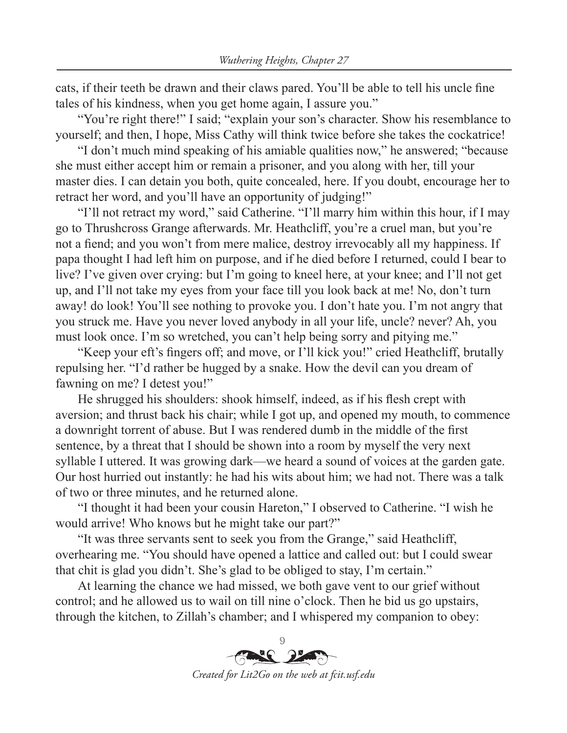cats, if their teeth be drawn and their claws pared. You'll be able to tell his uncle fine tales of his kindness, when you get home again, I assure you."

"You're right there!" I said; "explain your son's character. Show his resemblance to yourself; and then, I hope, Miss Cathy will think twice before she takes the cockatrice!

"I don't much mind speaking of his amiable qualities now," he answered; "because she must either accept him or remain a prisoner, and you along with her, till your master dies. I can detain you both, quite concealed, here. If you doubt, encourage her to retract her word, and you'll have an opportunity of judging!"

"I'll not retract my word," said Catherine. "I'll marry him within this hour, if I may go to Thrushcross Grange afterwards. Mr. Heathcliff, you're a cruel man, but you're not a fiend; and you won't from mere malice, destroy irrevocably all my happiness. If papa thought I had left him on purpose, and if he died before I returned, could I bear to live? I've given over crying: but I'm going to kneel here, at your knee; and I'll not get up, and I'll not take my eyes from your face till you look back at me! No, don't turn away! do look! You'll see nothing to provoke you. I don't hate you. I'm not angry that you struck me. Have you never loved anybody in all your life, uncle? never? Ah, you must look once. I'm so wretched, you can't help being sorry and pitying me."

"Keep your eft's fingers off; and move, or I'll kick you!" cried Heathcliff, brutally repulsing her. "I'd rather be hugged by a snake. How the devil can you dream of fawning on me? I detest you!"

He shrugged his shoulders: shook himself, indeed, as if his flesh crept with aversion; and thrust back his chair; while I got up, and opened my mouth, to commence a downright torrent of abuse. But I was rendered dumb in the middle of the first sentence, by a threat that I should be shown into a room by myself the very next syllable I uttered. It was growing dark—we heard a sound of voices at the garden gate. Our host hurried out instantly: he had his wits about him; we had not. There was a talk of two or three minutes, and he returned alone.

"I thought it had been your cousin Hareton," I observed to Catherine. "I wish he would arrive! Who knows but he might take our part?"

"It was three servants sent to seek you from the Grange," said Heathcliff, overhearing me. "You should have opened a lattice and called out: but I could swear that chit is glad you didn't. She's glad to be obliged to stay, I'm certain."

At learning the chance we had missed, we both gave vent to our grief without control; and he allowed us to wail on till nine o'clock. Then he bid us go upstairs, through the kitchen, to Zillah's chamber; and I whispered my companion to obey: